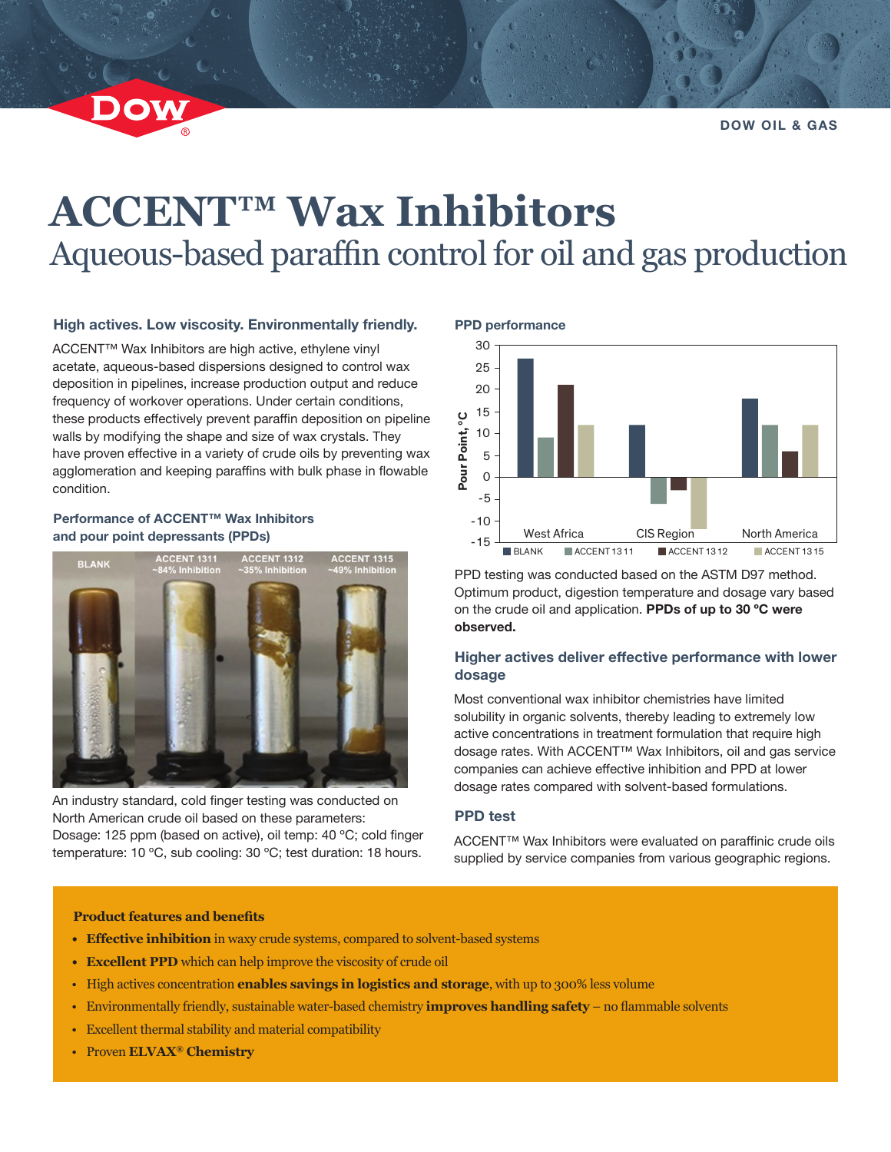**DOW OIL & GAS**

# **ACCENT™ Wax Inhibitors** Aqueous-based paraffin control for oil and gas production

## **High actives. Low viscosity. Environmentally friendly.**

ACCENT™ Wax Inhibitors are high active, ethylene vinyl acetate, aqueous-based dispersions designed to control wax deposition in pipelines, increase production output and reduce frequency of workover operations. Under certain conditions, these products effectively prevent paraffin deposition on pipeline walls by modifying the shape and size of wax crystals. They have proven effective in a variety of crude oils by preventing wax agglomeration and keeping paraffins with bulk phase in flowable condition.

## **Performance of ACCENT™ Wax Inhibitors and pour point depressants (PPDs)**



An industry standard, cold finger testing was conducted on North American crude oil based on these parameters: Dosage: 125 ppm (based on active), oil temp: 40 ºC; cold finger temperature: 10 ºC, sub cooling: 30 ºC; test duration: 18 hours.



PPD testing was conducted based on the ASTM D97 method. Optimum product, digestion temperature and dosage vary based on the crude oil and application. **PPDs of up to 30 ºC were observed.**

## **Higher actives deliver effective performance with lower dosage**

Most conventional wax inhibitor chemistries have limited solubility in organic solvents, thereby leading to extremely low active concentrations in treatment formulation that require high dosage rates. With ACCENT™ Wax Inhibitors, oil and gas service companies can achieve effective inhibition and PPD at lower dosage rates compared with solvent-based formulations.

## **PPD test**

ACCENT™ Wax Inhibitors were evaluated on paraffinic crude oils supplied by service companies from various geographic regions.

#### **Product features and benefits**

- **• Effective inhibition** in waxy crude systems, compared to solvent-based systems
- **• Excellent PPD** which can help improve the viscosity of crude oil
- High actives concentration **enables savings in logistics and storage**, with up to 300% less volume
- Environmentally friendly, sustainable water-based chemistry **improves handling safety** no flammable solvents
- Excellent thermal stability and material compatibility
- Proven **ELVAX® Chemistry**